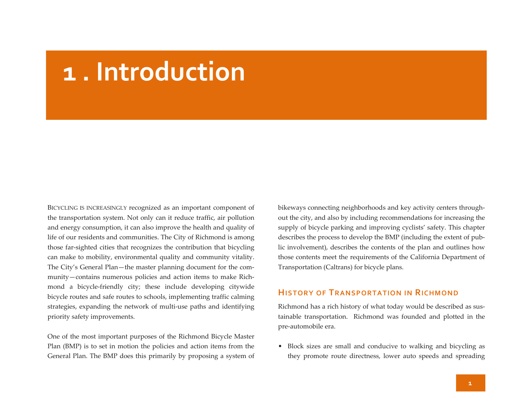# **1 . Introduction**

BICYCLING IS INCREASINGLY recognized as an important componen<sup>t</sup> of the transportation system. Not only can it reduce traffic, air pollution and energy consumption, it can also improve the health and quality of life of our residents and communities. The City of Richmond is among those far‐sighted cities that recognizes the contribution that bicycling can make to mobility, environmental quality and community vitality. The City's General Plan—the master planning document for the com‐ munity—contains numerous policies and action items to make Richmond <sup>a</sup> bicycle‐friendly city; these include developing citywide bicycle routes and safe routes to schools, implementing traffic calming strategies, expanding the network of multi‐use paths and identifying priority safety improvements.

One of the most important purposes of the Richmond Bicycle Master Plan (BMP) is to set in motion the policies and action items from the General Plan. The BMP does this primarily by proposing <sup>a</sup> system of

bikeways connecting neighborhoods and key activity centers through‐ out the city, and also by including recommendations for increasing the supply of bicycle parking and improving cyclists' safety. This chapter describes the process to develop the BMP (including the extent of pub‐ lic involvement), describes the contents of the plan and outlines how those contents meet the requirements of the California Department of Transportation (Caltrans) for bicycle plans.

#### **HISTORY OF TRANSPORTATION IN RICHMOND**

Richmond has <sup>a</sup> rich history of what today would be described as sus‐ tainable transportation. Richmond was founded and plotted in the pre‐automobile era.

• Block sizes are small and conducive to walking and bicycling as they promote route directness, lower auto speeds and spreading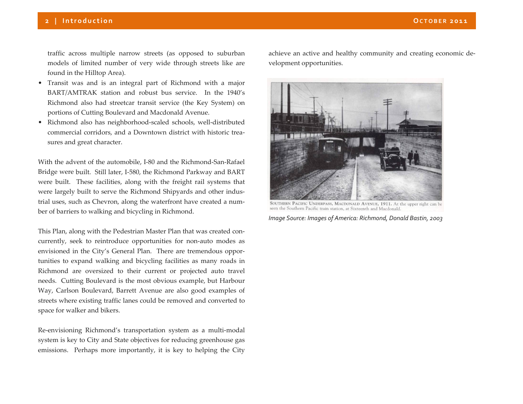traffic across multiple narrow streets (as opposed to suburban models of limited number of very wide through streets like are found in the Hilltop Area).

- Transit was and is an integral par<sup>t</sup> of Richmond with <sup>a</sup> major BART/AMTRAK station and robust bus service. In the 1940's Richmond also had streetcar transit service (the Key System) on portions of Cutting Boulevard and Macdonald Avenue.
- Richmond also has neighborhood‐scaled schools, well‐distributed commercial corridors, and <sup>a</sup> Downtown district with historic trea‐ sures and grea<sup>t</sup> character.

With the advent of the automobile, I‐80 and the Richmond‐San‐Rafael Bridge were built. Still later, I‐580, the Richmond Parkway and BART were built. These facilities, along with the freight rail systems that were largely built to serve the Richmond Shipyards and other indus‐ trial uses, such as Chevron, along the waterfront have created <sup>a</sup> num‐ ber of barriers to walking and bicycling in Richmond.

This Plan, along with the Pedestrian Master Plan that was created con‐ currently, seek to reintroduce opportunities for non‐auto modes as envisioned in the City's General Plan. There are tremendous oppor‐ tunities to expand walking and bicycling facilities as many roads in Richmond are oversized to their current or projected auto travel needs. Cutting Boulevard is the most obvious example, but Harbour Way, Carlson Boulevard, Barrett Avenue are also good examples of streets where existing traffic lanes could be removed and converted to space for walker and bikers.

Re-envisioning Richmond's transportation system as a multi-modal system is key to City and State objectives for reducing greenhouse gas emissions. Perhaps more importantly, it is key to helping the City

achieve an active and healthy community and creating economic de‐ velopment opportunities.



SOUTHERN PACIFIC UNDERPASS, MACDONALD AVENUE, 1911. At the upper right can be seen the Southern Pacific train station, at Sixteenth and Macdonald.

*Image Source: Images of America: Richmond, Donald Bastin, 2003*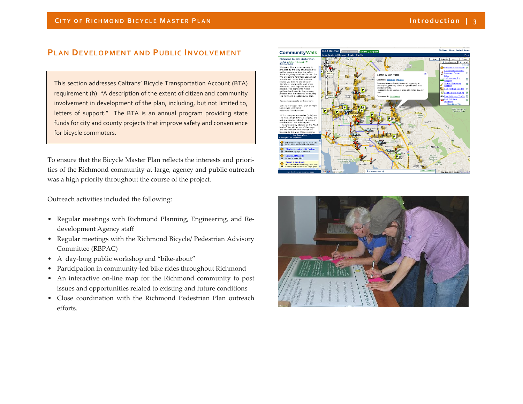### **PLAN DEVELOPMENT AND PUBLIC INVOLVEMENT**

This section addresses Caltrans' Bicycle Transportation Account (BTA) requirement (h): "A description of the extent of citizen and community involvement in development of the plan, including, but not limited to, letters of support." The BTA is an annual program providing state funds for city and county projects that improve safety and convenience for bicycle commuters.

To ensure that the Bicycle Master Plan reflects the interests and priori‐ ties of the Richmond community‐at‐large, agency and public outreach was a high priority throughout the course of the project.

Outreach activities included the following:

- Regular meetings with Richmond Planning, Engineering, and Re‐ development Agency staff
- Regular meetings with the Richmond Bicycle/ Pedestrian Advisory Committee (RBPAC)
- A day-long public workshop and "bike-about"
- Participation in community-led bike rides throughout Richmond
- An interactive on-line map for the Richmond community to post issues and opportunities related to existing and future conditions
- Close coordination with the Richmond Pedestrian Plan outreach efforts.



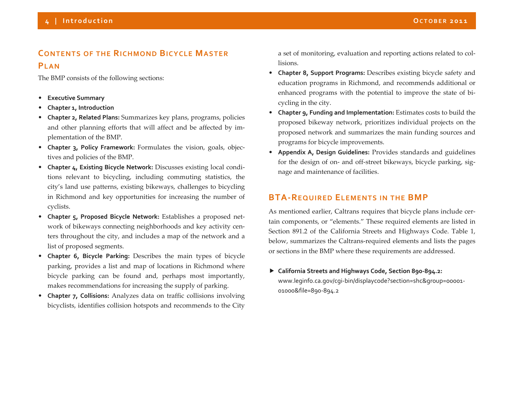## **CONTENTS OF THE RICHMONDBICYCLEMASTERPLAN**

The BMP consists of the following sections:

- $\bullet$ **Executive Summary**
- •**Chapter 1, Introduction**
- **Chapter 2, Related Plans:** Summarizes key plans, programs, policies and other planning efforts that will affect and be affected by im‐ plementation of the BMP.
- **Chapter 3, Policy Framework:** Formulates the vision, goals, objec‐ tives and policies of the BMP.
- **Chapter 4, Existing Bicycle Network:** Discusses existing local condi‐ tions relevant to bicycling, including commuting statistics, the city's land use patterns, existing bikeways, challenges to bicycling in Richmond and key opportunities for increasing the number of cyclists.
- **Chapter 5, Proposed Bicycle Network:** Establishes <sup>a</sup> proposed net‐ work of bikeways connecting neighborhoods and key activity cen‐ ters throughout the city, and includes <sup>a</sup> map of the network and <sup>a</sup> list of proposed segments.
- **Chapter 6, Bicycle Parking:** Describes the main types of bicycle parking, provides <sup>a</sup> list and map of locations in Richmond where bicycle parking can be found and, perhaps most importantly, makes recommendations for increasing the supply of parking.
- **Chapter 7, Collisions:** Analyzes data on traffic collisions involving bicyclists, identifies collision hotspots and recommends to the City

a set of monitoring, evaluation and reporting actions related to col‐ lisions.

- **Chapter 8, Support Programs:** Describes existing bicycle safety and education programs in Richmond, and recommends additional or enhanced programs with the potential to improve the state of bi‐ cycling in the city.
- **Chapter 9, Funding and Implementation:** Estimates costs to build the proposed bikeway network, prioritizes individual projects on the proposed network and summarizes the main funding sources and programs for bicycle improvements.
- **Appendix A, Design Guidelines:** Provides standards and guidelines for the design of on‐ and off‐street bikeways, bicycle parking, sig‐ nage and maintenance of facilities.

## **BTA‐REQUIREDELEMENTS IN THE BMP**

As mentioned earlier, Caltrans requires that bicycle plans include cer‐ tain components, or "elements." These required elements are listed in Section 891.2 of the California Streets and Highways Code. Table 1, below, summarizes the Caltrans‐required elements and lists the pages or sections in the BMP where these requirements are addressed.

 **California Streets and Highways Code, Section 890‐894.2:** www.leginfo.ca.gov/cgi‐bin/displaycode?section=shc&group=00001‐ 01000&file=890‐894.2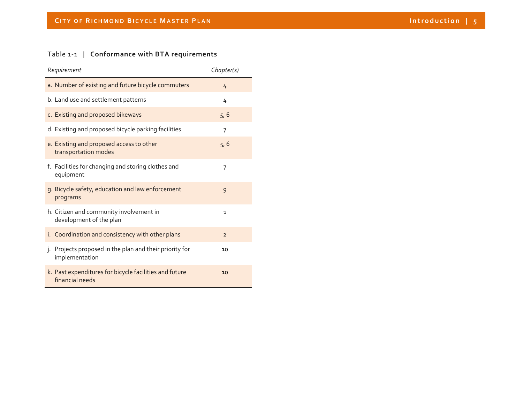#### Table <sup>1</sup>‐<sup>1</sup> | **Conformance with BTA requirements**

| Requirement                                                               | Chapter(s)     |
|---------------------------------------------------------------------------|----------------|
| a. Number of existing and future bicycle commuters                        | 4              |
| b. Land use and settlement patterns                                       | 4              |
| c. Existing and proposed bikeways                                         | 5, 6           |
| d. Existing and proposed bicycle parking facilities                       | 7              |
| e. Existing and proposed access to other<br>transportation modes          | 5, 6           |
| f. Facilities for changing and storing clothes and<br>equipment           | 7              |
| g. Bicycle safety, education and law enforcement<br>programs              | 9              |
| h. Citizen and community involvement in<br>development of the plan        | $\mathbf{1}$   |
| i. Coordination and consistency with other plans                          | $\overline{2}$ |
| j. Projects proposed in the plan and their priority for<br>implementation | 10             |
| k. Past expenditures for bicycle facilities and future<br>financial needs | 10             |